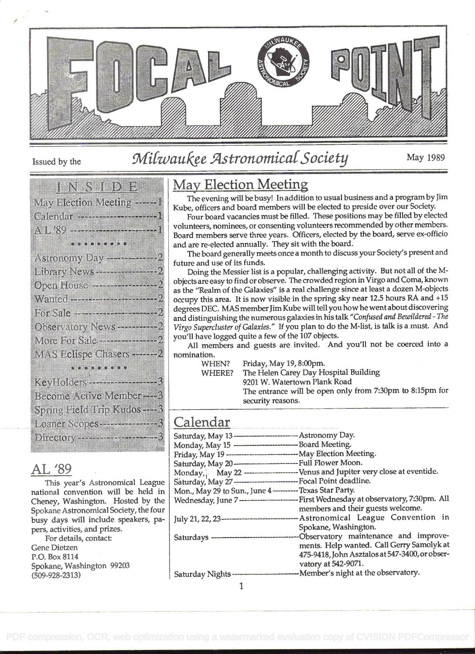

Issued by the

## Milwaukee Astronomical Society

May 1989

|                                                       | <u>iens verden </u>                                                                                            |  |
|-------------------------------------------------------|----------------------------------------------------------------------------------------------------------------|--|
|                                                       |                                                                                                                |  |
| May Election Meeting <del></del> I                    |                                                                                                                |  |
| Calenda <del>m - Miller Marian</del> 1                |                                                                                                                |  |
|                                                       |                                                                                                                |  |
| A L 89 - - - - - - - - - - - - - - - 1                |                                                                                                                |  |
|                                                       |                                                                                                                |  |
|                                                       | a kacamatan ing Kabupatèn Kabupatèn Kabupatèn Kabupatèn Kabupatèn Kabupatèn Kabupatèn Kabupatèn Kabupatèn Kabu |  |
|                                                       |                                                                                                                |  |
|                                                       |                                                                                                                |  |
| Library News <del>- - - - - - - - - - -</del> - - - - |                                                                                                                |  |
|                                                       |                                                                                                                |  |
| Open House <del>and The Waller</del>                  |                                                                                                                |  |
|                                                       |                                                                                                                |  |
| Wanted <del>- Francisco - Francis</del>               |                                                                                                                |  |
|                                                       |                                                                                                                |  |
|                                                       |                                                                                                                |  |
| Observatory News <del>er Allena</del>                 |                                                                                                                |  |
|                                                       |                                                                                                                |  |
| More for Sale ————————                                |                                                                                                                |  |
|                                                       |                                                                                                                |  |
| MAS Eclispe Chasers ————                              |                                                                                                                |  |
|                                                       |                                                                                                                |  |
|                                                       |                                                                                                                |  |
| KeyHolders - Albert 1988                              |                                                                                                                |  |
|                                                       |                                                                                                                |  |
| Become Active Momber                                  |                                                                                                                |  |
|                                                       |                                                                                                                |  |
| Spring Field Hap Kudos – 2                            |                                                                                                                |  |
| Loaner Scopes - - - - - - - - - - - -                 |                                                                                                                |  |
|                                                       |                                                                                                                |  |
| Directory <del>- 1999 - 1999 - 1999</del>             |                                                                                                                |  |
|                                                       |                                                                                                                |  |

#### AL '89

This year's Astronomical League national convention will be held in Cheney, Washington. Hosted by the Spokane Astronomical Society, the four busy days will include speakers, papers, activities, and prizes.

For details, contact: **Gene Dietzen** P.O. Box 8114 Spokane, Washington 99203  $(509 - 928 - 2313)$ 

## **May Election Meeting**

The evening will be busy! In addition to usual business and a program by Jim Kube, officers and board members will be elected to preside over our Society.

Four board vacancies must be filled. These positions may be filled by elected volunteers, nominees, or consenting volunteers recommended by other members. Board members serve three years. Officers, elected by the board, serve ex-officio and are re-elected annually. They sit with the board.

The board generally meets once a month to discuss your Society's present and future and use of its funds.

Doing the Messier list is a popular, challenging activity. But not all of the Mobjects are easy to find or observe. The crowded region in Virgo and Coma, known as the "Realm of the Galaxies" is a real challenge since at least a dozen M-objects occupy this area. It is now visible in the spring sky near 12.5 hours RA and +15 degrees DEC. MAS member Jim Kube will tell you how he went about discovering and distinguishing the numerous galaxies in his talk "Confused and Bewildered - The Virgo Supercluster of Galaxies." If you plan to do the M-list, is talk is a must. And you'll have logged quite a few of the 107 objects.

All members and guests are invited. And you'll not be coerced into a nomination.

**WHEN?** WHERE?

Friday, May 19, 8:00pm.

The Helen Carey Day Hospital Building

9201 W. Watertown Plank Road The entrance will be open only from 7:30pm to 8:15pm for security reasons.

## Calendar

| Saturday, May 13----------------------------- Astronomy Day.                          |
|---------------------------------------------------------------------------------------|
|                                                                                       |
| Friday, May 19 --------------------------------- May Election Meeting.                |
|                                                                                       |
|                                                                                       |
| Saturday, May 27---------------------------Focal Point deadline.                      |
| Mon., May 29 to Sun., June 4 ----------Texas Star Party.                              |
|                                                                                       |
| members and their guests welcome.                                                     |
| July 21, 22, 23- <b>---------------------------</b> Astronomical League Convention in |
| Spokane, Washington.                                                                  |
|                                                                                       |
| ments. Help wanted. Call Gerry Samolyk at                                             |
| 475-9418, John Asztalos at 547-3400, or obser-                                        |
| vatory at 542-9071.                                                                   |
|                                                                                       |
|                                                                                       |

1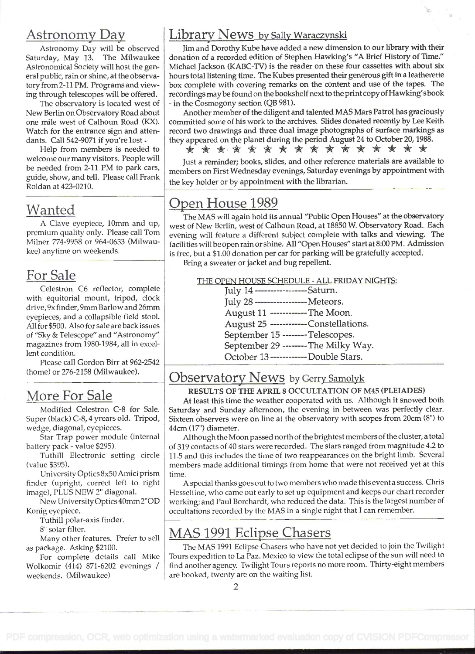### Astronomy Da

Astronomy Day will be observed Saturday, May 13. The Milwaukee Astronomical Society will host the general public, rain or shine, at the observatory from 2-11 PM. Programs and viewing through telescopes will be offered.

The observatory is located west of New Berlin on Observatory Road about one mile west of Calhoun Road (KX). Watch for the entrance sign and attendants. Call 542-9071 if you're lost.

Help from members is needed to welcome our many visitors. People will be needed from 2-11 PM to park cars, guide, show, and tell. Please call Frank Roldan at 423-0210.

## Wanted

A Clave eyepiece, 10mm and up, premium quality only. Please call Tom Milner 774-9958 or 964-0633 (Milwaukee) anytime on weekends.

## For Sale

Celestron C6 reflector, complete with equitorial mount, tripod, clock drive, 9x finder, 9mm Barlow and 26mm eyepieces, and a collapsible field stool. All for \$500. Also for sale are back issues of "Sky & Telescope" and "Astronomy" magazines from 1980-1984, all in excellent condition.

Please call Gordon Birr at 962-2542 (home) or 276-2158 (Milwaukee).

## More For Sale

Modified Celestron C-8 for Sale. Super (black) C-8, 4 yrears old. Tripod, wedge, diagonal, eyepieces.

Star Trap power module (internal battery pack - value \$295).

Tuthill Electronic setting circle (value \$395).

University Optics 8x50 Amici prism finder (upright, correct left to right image), PLUS NEW 2" diagonal.

New University Optics 40mm 2'OD Konig eyepiece.

Tuthill polar-axis finder.

8" solar filter.

Many other features. Prefer to sell as package. Asking \$2100.

For complete details call Mike Wolkomir (414) 871-6202 evenings / weekends. (Milwaukee)

#### Library News by Sally Waraczynski

Jim and Dorothy Kube have added a new dimension to our library with their donation of a recorded edition of Stephen Hawking's "A Brief History of Time." Michael Jackson (KABC-TV) is the reader on these four cassettes with about six hours total listening time. The Kubes presented their generous gift in a leatherette box complete with covering remarks on the content and use of the tapes. The recordings maybe found on the bookshelf next to the print copy of Hawking's book - in the Cosmogony section (QB 981).

Another member of the diligent and talented MAS Mars Patrol has graciously committed some of his work to the archives. Slides donated recently by Lee Keith record two drawings and three dual image photographs of surface markings as they appeared on the planet during the period August 24 to October 20, 1988.

Just a reminder; books, slides, and other reference materials are available to members on First Wednesday evenings, Saturday evenings by appointment with the key holder or by appointment with the librarian.

## Open House 1989

The MAS will again hold its annual "Public Open Houses" at the observatory west of New Berlin, west of Calhoun Road, at 18850 W. Observatory Road. Each evening will feature a different subject complete with talks and viewing. The facilities will be open rain or shine. All "Open Houses" start at 8:00 PM. Admission is free, but a \$1.00 donation per car for parking will be gratefully accepted.

Bring a sweater or jacket and bug repellent.

THE OPEN HOUSE SCHEDULE - ALL FRIDAY NIGHTS:

July 14 ----------------- Saturn. July 28 --------- - Meteors. August 11 ------------ The Moon. 25 ------------ Constellations. September 15 -------- Telescopes. September 29 --------The Milky Way. October l3 ------------ Double Stars.

#### Observatory News by Gerry Samolyk

#### RESULTS OF THE APRIL 8 OCCULTATION OF M45 (PLEIADES)

At least this time the weather cooperated with us. Although it snowed both Saturday and Sunday afternoon, the evening in between was perfectly clear. Sixteen observers were on line at the observatory with scopes from 20cm (8') to 44cm (17") diameter.

Although the Moon passed north of the brightest members of the cluster, a total of 319 contacts of 40 stars were recorded. The stars ranged from magnitude 4.2 to <sup>1</sup>1 .5 and this includes the time of two reappearances on the bright limb. Several members made additional timings from home that were not received yet at this time.

A special thanks goes out to two members who made this event a success. Chris Hesseltine, who came out early to set up equipment and keeps our chart recorder working; and Paul Borchardt, who reduced the data. This is the largest number of occultations recorded by the MAS in a single night that I can remember.

## MAS 1991 Eclipse Chasers

The MAS 1991 Eclipse Chasers who have not yet decided to join the Twilight Tours expedition to La Paz. Mexico to view the total eclipse of the sun will need to find another agency. Twilight Tours reports no more room. Thirty-eight members are booked, twenty are on the waiting list.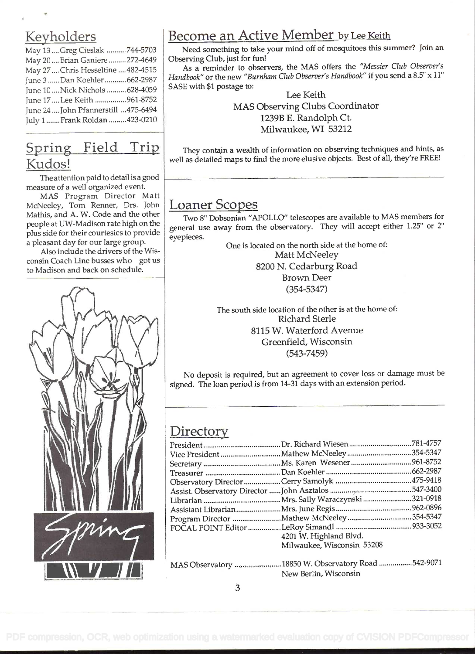## Keyholders

| May 13  Greg Cieslak 744-5703        |       |
|--------------------------------------|-------|
| May 20 Brian Ganiere 272-4649        | Οl    |
| May 27  Chris Hesseltine  482-4515   |       |
| June 3 Dan Koehler  662-2987         | $H_0$ |
| June 10  Nick Nichols  628-4059      | SΑ    |
| June 17  Lee Keith  961-8752         |       |
| June 24  John Pfannerstill  475-6494 |       |
| July 1  Frank Roldan  423-0210       |       |
|                                      |       |

## Spring Field Trip Kudos!

The attention paid to detail is a good measure of a well organized event.

MAS Program Director Matt McNeeley, Tom Renner, Drs. John Mathis, and A. W. Code and the other people at UW-Madison rate high on the plus side for their courtesies to provide a pleasant day for our large group.

Also include the drivers of the Wisconsin Coach Line busses who got us to Madison and back on schedule.



## Become an Active Member by Lee Keith

Need something to take your mind off of mosquitoes this summer? Join an Observing Club, just for fun!

As a reminder to observers, the MAS offers the "Messier Club Observer's Handbook" or the new "Burnham Club Observer's Handbook" if you send a 8.5" x 11" SASE with \$1 postage to:

Lee Keith MAS Observing Clubs Coordinator 1239B E. Randolph Ct. Milwaukee, WI 53212

They contain a wealth of information on observing techniques and hints, as well as detailed maps to find the more elusive objects. Best of all, they're FREE!

## Loaner Scopes

Two 8" Dobsonian "APOLLO" telescopes are available to MAS members for general use away from the observatory. They will accept either 1.25" or 2" eyepieces.

One is located on the north side at the home of: Matt McNeeley 8200 N. Cedarburg Road Brown Deer (354-5347)

The south side location of the other is at the home of: Richard Sterle 8115 W. Waterford Avenue Greenfield, Wisconsin (543-7459)

No deposit is required, but an agreement to cover loss or damage must be signed. The loan period is from 14-31 days with an extension period.

### **Directory**

| 4201 W. Highland Blvd.     |  |
|----------------------------|--|
| Milwaukee, Wisconsin 53208 |  |
|                            |  |

| MAS Observatory 18850 W. Observatory Road 542-9071 |  |
|----------------------------------------------------|--|
| New Berlin, Wisconsin                              |  |